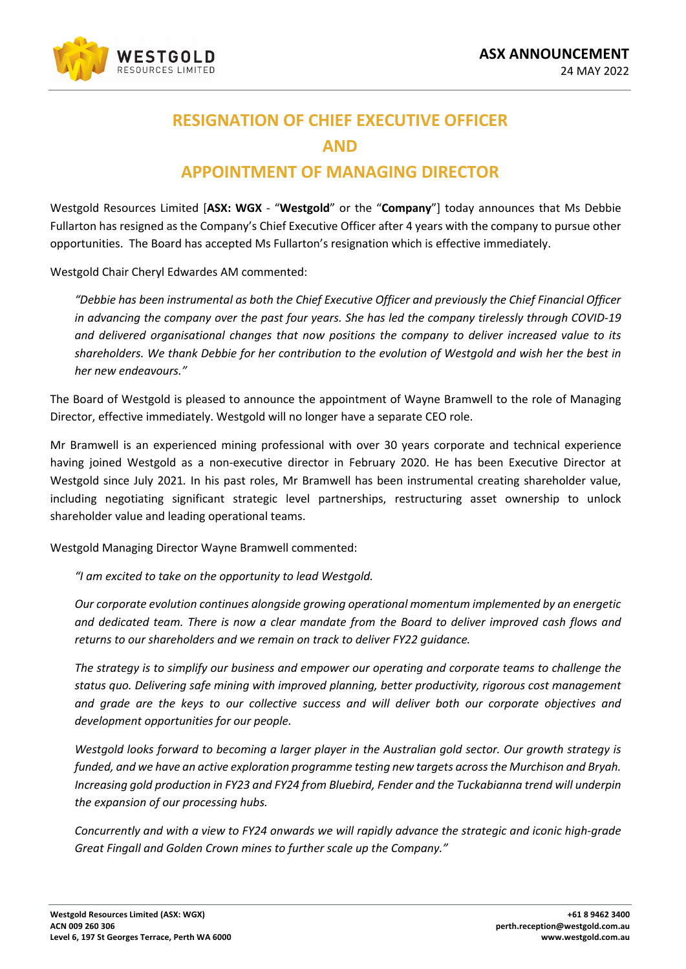

## **RESIGNATION OF CHIEF EXECUTIVE OFFICER AND**

## **APPOINTMENT OF MANAGING DIRECTOR**

Westgold Resources Limited [**ASX: WGX** - "**Westgold**" or the "**Company**"] today announces that Ms Debbie Fullarton has resigned as the Company's Chief Executive Officer after 4 years with the company to pursue other opportunities. The Board has accepted Ms Fullarton's resignation which is effective immediately.

Westgold Chair Cheryl Edwardes AM commented:

*"Debbie has been instrumental as both the Chief Executive Officer and previously the Chief Financial Officer in advancing the company over the past four years. She has led the company tirelessly through COVID-19 and delivered organisational changes that now positions the company to deliver increased value to its shareholders. We thank Debbie for her contribution to the evolution of Westgold and wish her the best in her new endeavours."*

The Board of Westgold is pleased to announce the appointment of Wayne Bramwell to the role of Managing Director, effective immediately. Westgold will no longer have a separate CEO role.

Mr Bramwell is an experienced mining professional with over 30 years corporate and technical experience having joined Westgold as a non-executive director in February 2020. He has been Executive Director at Westgold since July 2021*.* In his past roles, Mr Bramwell has been instrumental creating shareholder value, including negotiating significant strategic level partnerships, restructuring asset ownership to unlock shareholder value and leading operational teams.

Westgold Managing Director Wayne Bramwell commented:

*"I am excited to take on the opportunity to lead Westgold.* 

*Our corporate evolution continues alongside growing operational momentum implemented by an energetic and dedicated team. There is now a clear mandate from the Board to deliver improved cash flows and returns to our shareholders and we remain on track to deliver FY22 guidance.* 

*The strategy is to simplify our business and empower our operating and corporate teams to challenge the status quo. Delivering safe mining with improved planning, better productivity, rigorous cost management and grade are the keys to our collective success and will deliver both our corporate objectives and development opportunities for our people.* 

*Westgold looks forward to becoming a larger player in the Australian gold sector. Our growth strategy is funded, and we have an active exploration programme testing new targets across the Murchison and Bryah. Increasing gold production in FY23 and FY24 from Bluebird, Fender and the Tuckabianna trend will underpin the expansion of our processing hubs.*

*Concurrently and with a view to FY24 onwards we will rapidly advance the strategic and iconic high-grade Great Fingall and Golden Crown mines to further scale up the Company."*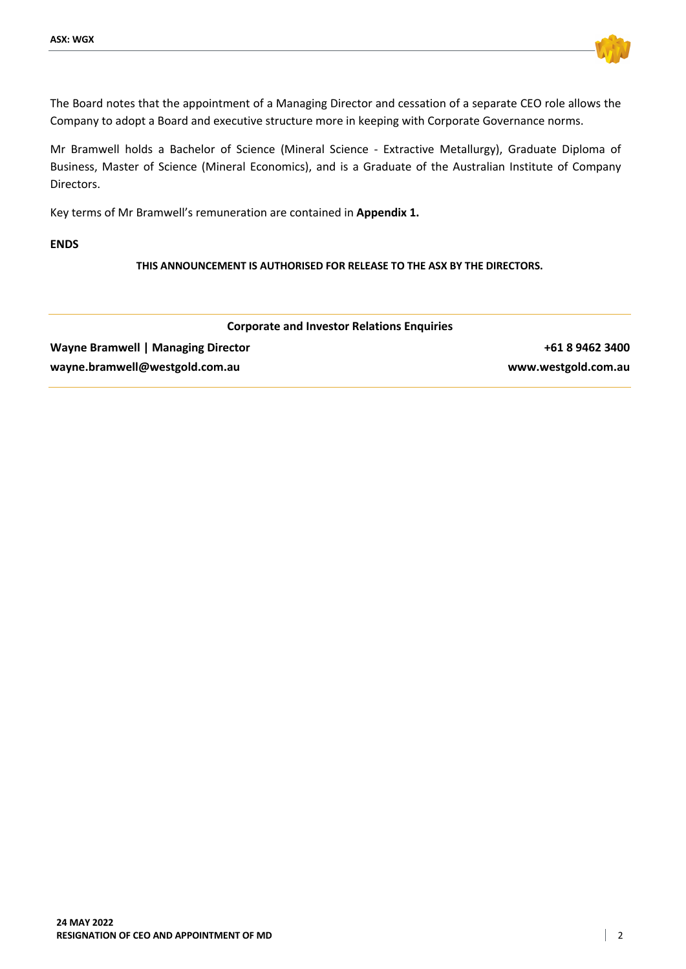

The Board notes that the appointment of a Managing Director and cessation of a separate CEO role allows the Company to adopt a Board and executive structure more in keeping with Corporate Governance norms.

Mr Bramwell holds a Bachelor of Science (Mineral Science - Extractive Metallurgy), Graduate Diploma of Business, Master of Science (Mineral Economics), and is a Graduate of the Australian Institute of Company Directors.

Key terms of Mr Bramwell's remuneration are contained in **Appendix 1.**

## **ENDS**

**THIS ANNOUNCEMENT IS AUTHORISED FOR RELEASE TO THE ASX BY THE DIRECTORS.**

| <b>Corporate and Investor Relations Enquiries</b> |                     |
|---------------------------------------------------|---------------------|
| <b>Wayne Bramwell   Managing Director</b>         | +61 8 9462 3400     |
| wayne.bramwell@westgold.com.au                    | www.westgold.com.au |